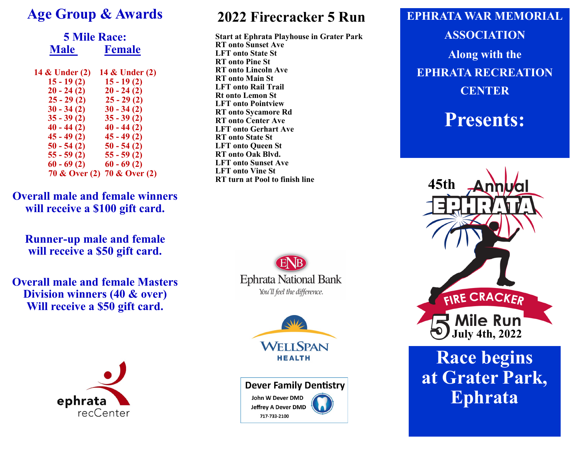#### **Age Group & Awards**

|                | <b>5 Mile Race:</b>         |  |  |  |
|----------------|-----------------------------|--|--|--|
| <b>Male</b>    | <b>Female</b>               |  |  |  |
| 14 & Under (2) | 14 & Under (2)              |  |  |  |
| $15 - 19(2)$   | $15 - 19(2)$                |  |  |  |
| $20 - 24(2)$   | $20 - 24(2)$                |  |  |  |
| $25 - 29(2)$   | $25 - 29(2)$                |  |  |  |
| $30 - 34(2)$   | $30 - 34(2)$                |  |  |  |
| $35 - 39(2)$   | $35 - 39(2)$                |  |  |  |
| $40 - 44(2)$   | $40 - 44(2)$                |  |  |  |
| $45 - 49(2)$   | $45 - 49(2)$                |  |  |  |
| $50 - 54(2)$   | $50 - 54(2)$                |  |  |  |
| $55 - 59(2)$   | $55 - 59(2)$                |  |  |  |
| $60 - 69(2)$   | $60 - 69(2)$                |  |  |  |
|                | 70 & Over (2) 70 & Over (2) |  |  |  |

**Overall male and female winners will receive a \$100 gift card.**

**Runner-up male and female will receive a \$50 gift card.**

**Overall male and female Masters Division winners (40 & over) Will receive a \$50 gift card.**



### **2022 Firecracker 5 Run**

**Start at Ephrata Playhouse in Grater Park RT onto Sunset Ave LFT onto State St RT onto Pine St RT onto Lincoln Ave RT onto Main St LFT onto Rail Trail Rt onto Lemon St LFT onto Pointview RT onto Sycamore Rd RT onto Center Ave LFT onto Gerhart Ave RT onto State St LFT onto Queen St RT onto Oak Blvd. LFT onto Sunset Ave LFT onto Vine St RT turn at Pool to finish line**







## **EPHRATA WAR MEMORIAL ASSOCIATION Along with the EPHRATA RECREATION CENTER**

**Presents:**



# **Race begins at Grater Park, Ephrata**